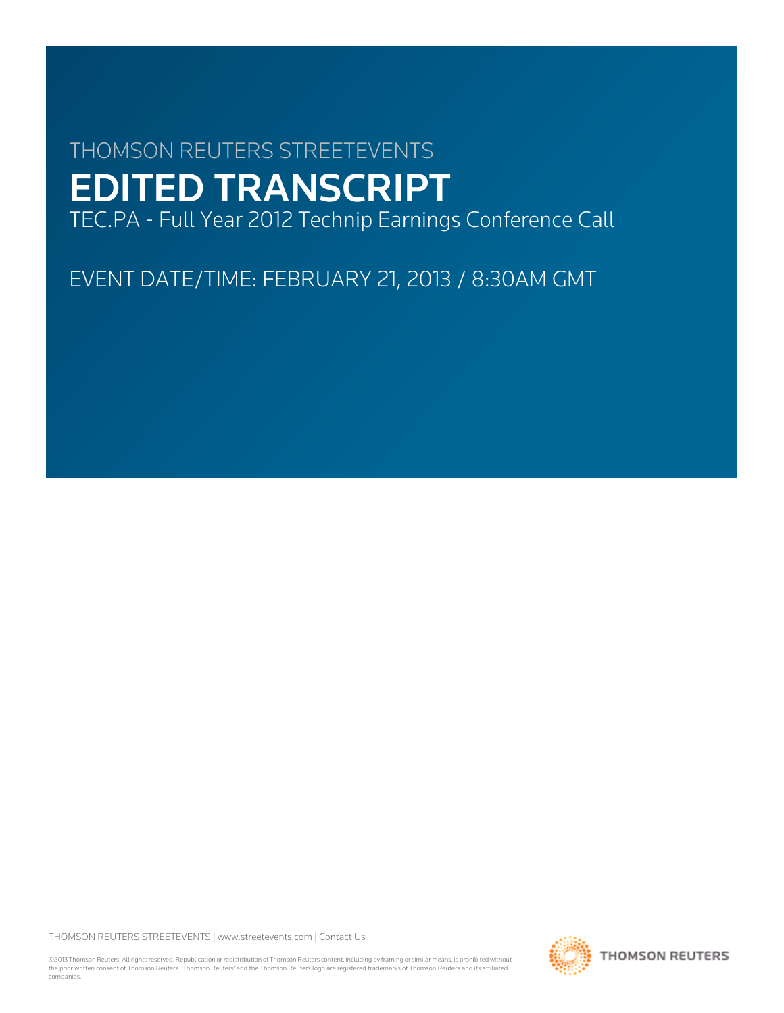# THOMSON REUTERS STREETEVENTS EDITED TRANSCRIPT

TEC.PA - Full Year 2012 Technip Earnings Conference Call

EVENT DATE/TIME: FEBRUARY 21, 2013 / 8:30AM GMT

THOMSON REUTERS STREETEVENTS | [www.streetevents.com](http://www.streetevents.com) | [Contact Us](http://www010.streetevents.com/contact.asp)

©2013 Thomson Reuters. All rights reserved. Republication or redistribution of Thomson Reuters content, including by framing or similar means, is prohibited without the prior written consent of Thomson Reuters. 'Thomson Reuters' and the Thomson Reuters logo are registered trademarks of Thomson Reuters and its affiliated companies.

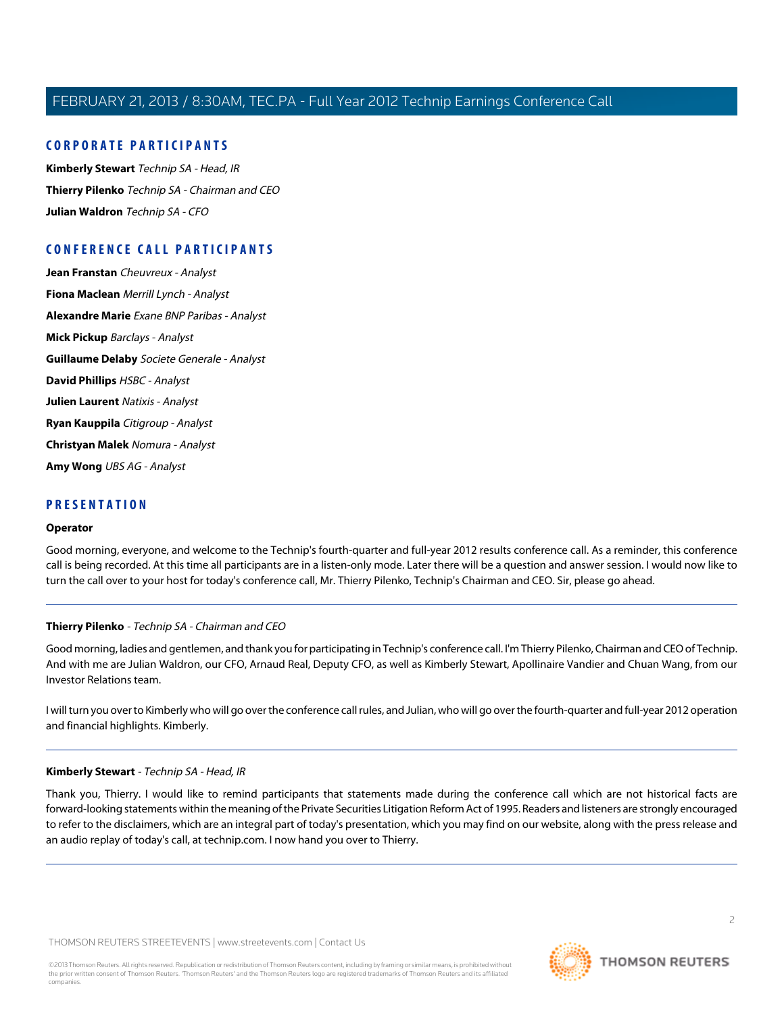## **CORPORATE PARTICIPANTS**

**[Kimberly Stewart](#page-1-0)** Technip SA - Head, IR **[Thierry Pilenko](#page-1-1)** Technip SA - Chairman and CEO **[Julian Waldron](#page-2-0)** Technip SA - CFO

## **CONFERENCE CALL PARTICIPANTS**

**[Jean Franstan](#page-7-0)** Cheuvreux - Analyst **[Fiona Maclean](#page-8-0)** Merrill Lynch - Analyst **[Alexandre Marie](#page-10-0)** Exane BNP Paribas - Analyst **[Mick Pickup](#page-11-0)** Barclays - Analyst **[Guillaume Delaby](#page-13-0)** Societe Generale - Analyst **[David Phillips](#page-15-0)** HSBC - Analyst **[Julien Laurent](#page-16-0)** Natixis - Analyst **[Ryan Kauppila](#page-17-0)** Citigroup - Analyst **[Christyan Malek](#page-18-0)** Nomura - Analyst **[Amy Wong](#page-20-0)** UBS AG - Analyst

## **PRESENTATION**

#### **Operator**

<span id="page-1-1"></span>Good morning, everyone, and welcome to the Technip's fourth-quarter and full-year 2012 results conference call. As a reminder, this conference call is being recorded. At this time all participants are in a listen-only mode. Later there will be a question and answer session. I would now like to turn the call over to your host for today's conference call, Mr. Thierry Pilenko, Technip's Chairman and CEO. Sir, please go ahead.

#### **Thierry Pilenko** - Technip SA - Chairman and CEO

Good morning, ladies and gentlemen, and thank you for participating in Technip's conference call. I'm Thierry Pilenko, Chairman and CEO of Technip. And with me are Julian Waldron, our CFO, Arnaud Real, Deputy CFO, as well as Kimberly Stewart, Apollinaire Vandier and Chuan Wang, from our Investor Relations team.

<span id="page-1-0"></span>I will turn you over to Kimberly who will go over the conference call rules, and Julian, who will go over the fourth-quarter and full-year 2012 operation and financial highlights. Kimberly.

#### **Kimberly Stewart** - Technip SA - Head, IR

Thank you, Thierry. I would like to remind participants that statements made during the conference call which are not historical facts are forward-looking statements within the meaning of the Private Securities Litigation Reform Act of 1995. Readers and listeners are strongly encouraged to refer to the disclaimers, which are an integral part of today's presentation, which you may find on our website, along with the press release and an audio replay of today's call, at technip.com. I now hand you over to Thierry.

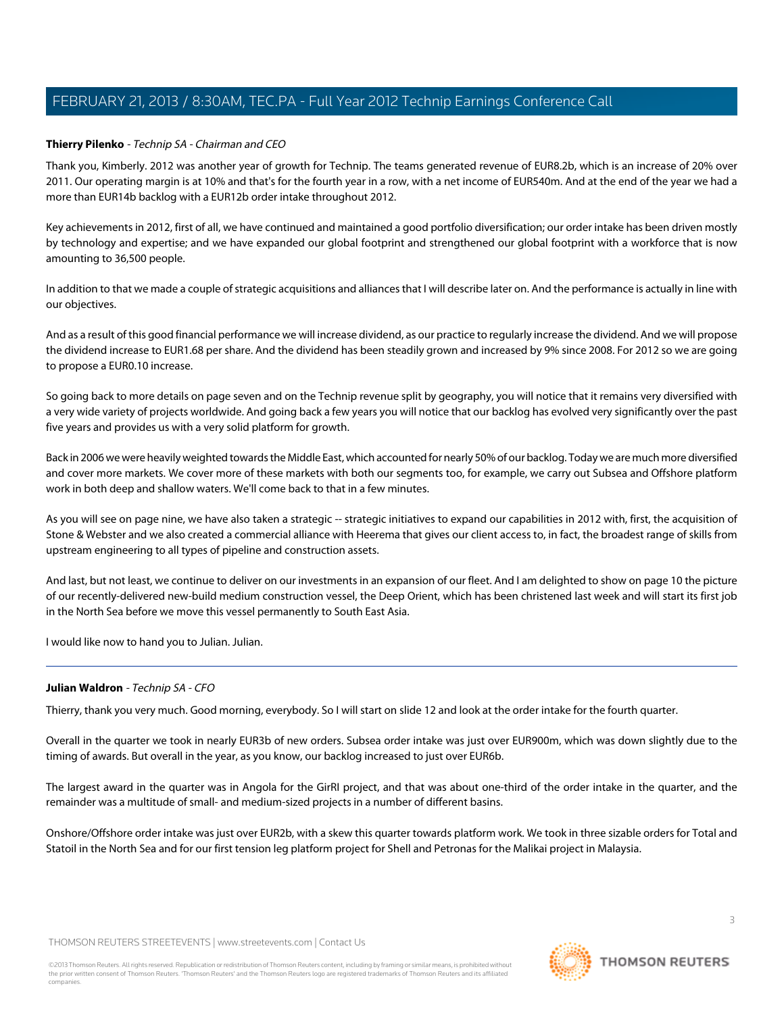## **Thierry Pilenko** - Technip SA - Chairman and CEO

Thank you, Kimberly. 2012 was another year of growth for Technip. The teams generated revenue of EUR8.2b, which is an increase of 20% over 2011. Our operating margin is at 10% and that's for the fourth year in a row, with a net income of EUR540m. And at the end of the year we had a more than EUR14b backlog with a EUR12b order intake throughout 2012.

Key achievements in 2012, first of all, we have continued and maintained a good portfolio diversification; our order intake has been driven mostly by technology and expertise; and we have expanded our global footprint and strengthened our global footprint with a workforce that is now amounting to 36,500 people.

In addition to that we made a couple of strategic acquisitions and alliances that I will describe later on. And the performance is actually in line with our objectives.

And as a result of this good financial performance we will increase dividend, as our practice to regularly increase the dividend. And we will propose the dividend increase to EUR1.68 per share. And the dividend has been steadily grown and increased by 9% since 2008. For 2012 so we are going to propose a EUR0.10 increase.

So going back to more details on page seven and on the Technip revenue split by geography, you will notice that it remains very diversified with a very wide variety of projects worldwide. And going back a few years you will notice that our backlog has evolved very significantly over the past five years and provides us with a very solid platform for growth.

Back in 2006 we were heavily weighted towards the Middle East, which accounted for nearly 50% of our backlog. Today we are much more diversified and cover more markets. We cover more of these markets with both our segments too, for example, we carry out Subsea and Offshore platform work in both deep and shallow waters. We'll come back to that in a few minutes.

As you will see on page nine, we have also taken a strategic -- strategic initiatives to expand our capabilities in 2012 with, first, the acquisition of Stone & Webster and we also created a commercial alliance with Heerema that gives our client access to, in fact, the broadest range of skills from upstream engineering to all types of pipeline and construction assets.

And last, but not least, we continue to deliver on our investments in an expansion of our fleet. And I am delighted to show on page 10 the picture of our recently-delivered new-build medium construction vessel, the Deep Orient, which has been christened last week and will start its first job in the North Sea before we move this vessel permanently to South East Asia.

<span id="page-2-0"></span>I would like now to hand you to Julian. Julian.

#### **Julian Waldron** - Technip SA - CFO

Thierry, thank you very much. Good morning, everybody. So I will start on slide 12 and look at the order intake for the fourth quarter.

Overall in the quarter we took in nearly EUR3b of new orders. Subsea order intake was just over EUR900m, which was down slightly due to the timing of awards. But overall in the year, as you know, our backlog increased to just over EUR6b.

The largest award in the quarter was in Angola for the GirRI project, and that was about one-third of the order intake in the quarter, and the remainder was a multitude of small- and medium-sized projects in a number of different basins.

Onshore/Offshore order intake was just over EUR2b, with a skew this quarter towards platform work. We took in three sizable orders for Total and Statoil in the North Sea and for our first tension leg platform project for Shell and Petronas for the Malikai project in Malaysia.

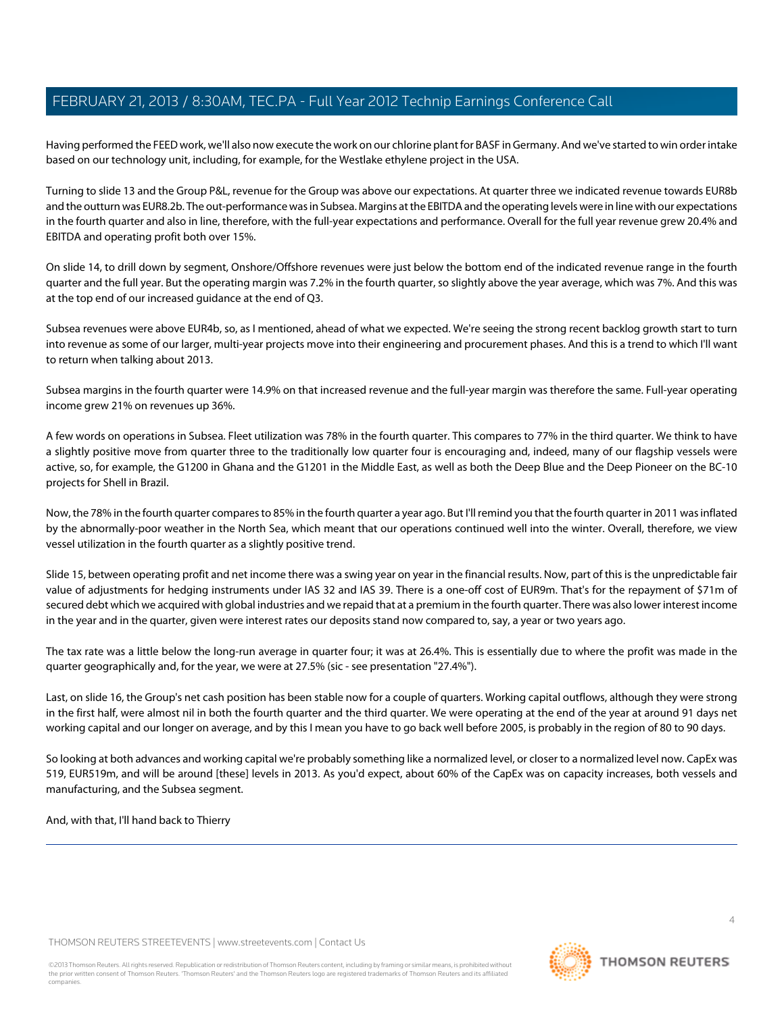Having performed the FEED work, we'll also now execute the work on our chlorine plant for BASF in Germany. And we've started to win order intake based on our technology unit, including, for example, for the Westlake ethylene project in the USA.

Turning to slide 13 and the Group P&L, revenue for the Group was above our expectations. At quarter three we indicated revenue towards EUR8b and the outturn was EUR8.2b. The out-performance was in Subsea. Margins at the EBITDA and the operating levels were in line with our expectations in the fourth quarter and also in line, therefore, with the full-year expectations and performance. Overall for the full year revenue grew 20.4% and EBITDA and operating profit both over 15%.

On slide 14, to drill down by segment, Onshore/Offshore revenues were just below the bottom end of the indicated revenue range in the fourth quarter and the full year. But the operating margin was 7.2% in the fourth quarter, so slightly above the year average, which was 7%. And this was at the top end of our increased guidance at the end of Q3.

Subsea revenues were above EUR4b, so, as I mentioned, ahead of what we expected. We're seeing the strong recent backlog growth start to turn into revenue as some of our larger, multi-year projects move into their engineering and procurement phases. And this is a trend to which I'll want to return when talking about 2013.

Subsea margins in the fourth quarter were 14.9% on that increased revenue and the full-year margin was therefore the same. Full-year operating income grew 21% on revenues up 36%.

A few words on operations in Subsea. Fleet utilization was 78% in the fourth quarter. This compares to 77% in the third quarter. We think to have a slightly positive move from quarter three to the traditionally low quarter four is encouraging and, indeed, many of our flagship vessels were active, so, for example, the G1200 in Ghana and the G1201 in the Middle East, as well as both the Deep Blue and the Deep Pioneer on the BC-10 projects for Shell in Brazil.

Now, the 78% in the fourth quarter compares to 85% in the fourth quarter a year ago. But I'll remind you that the fourth quarter in 2011 was inflated by the abnormally-poor weather in the North Sea, which meant that our operations continued well into the winter. Overall, therefore, we view vessel utilization in the fourth quarter as a slightly positive trend.

Slide 15, between operating profit and net income there was a swing year on year in the financial results. Now, part of this is the unpredictable fair value of adjustments for hedging instruments under IAS 32 and IAS 39. There is a one-off cost of EUR9m. That's for the repayment of \$71m of secured debt which we acquired with global industries and we repaid that at a premium in the fourth quarter. There was also lower interest income in the year and in the quarter, given were interest rates our deposits stand now compared to, say, a year or two years ago.

The tax rate was a little below the long-run average in quarter four; it was at 26.4%. This is essentially due to where the profit was made in the quarter geographically and, for the year, we were at 27.5% (sic - see presentation "27.4%").

Last, on slide 16, the Group's net cash position has been stable now for a couple of quarters. Working capital outflows, although they were strong in the first half, were almost nil in both the fourth quarter and the third quarter. We were operating at the end of the year at around 91 days net working capital and our longer on average, and by this I mean you have to go back well before 2005, is probably in the region of 80 to 90 days.

So looking at both advances and working capital we're probably something like a normalized level, or closer to a normalized level now. CapEx was 519, EUR519m, and will be around [these] levels in 2013. As you'd expect, about 60% of the CapEx was on capacity increases, both vessels and manufacturing, and the Subsea segment.

And, with that, I'll hand back to Thierry



**THOMSON REUTERS**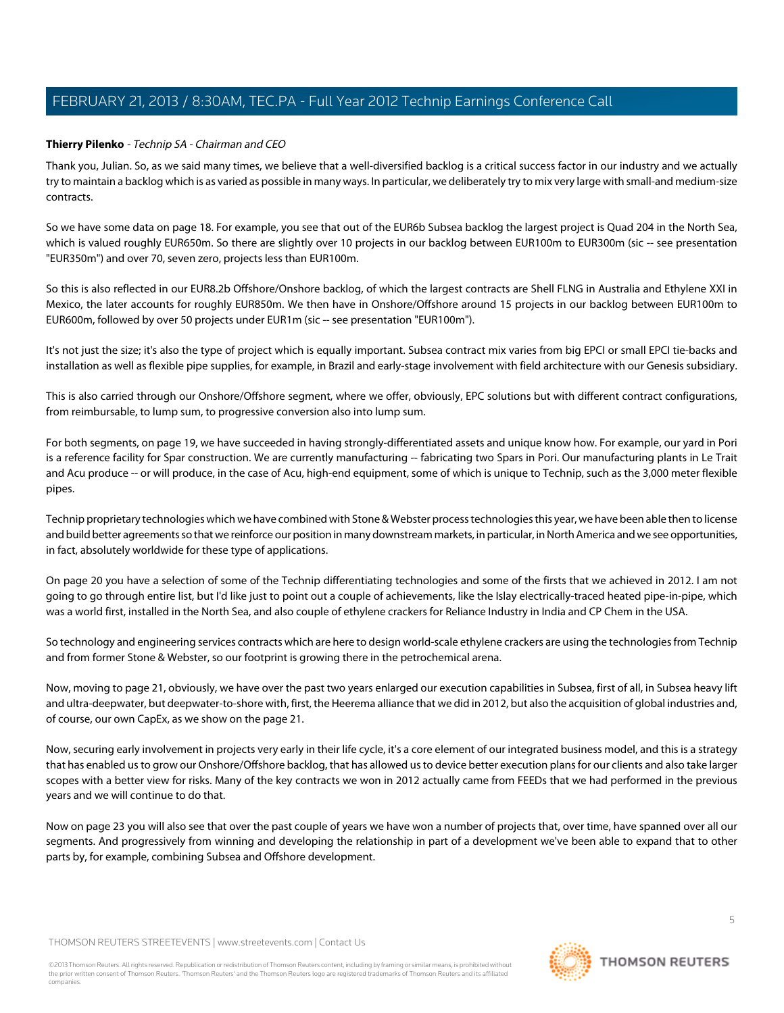#### **Thierry Pilenko** - Technip SA - Chairman and CEO

Thank you, Julian. So, as we said many times, we believe that a well-diversified backlog is a critical success factor in our industry and we actually try to maintain a backlog which is as varied as possible in many ways. In particular, we deliberately try to mix very large with small-and medium-size contracts.

So we have some data on page 18. For example, you see that out of the EUR6b Subsea backlog the largest project is Quad 204 in the North Sea, which is valued roughly EUR650m. So there are slightly over 10 projects in our backlog between EUR100m to EUR300m (sic -- see presentation "EUR350m") and over 70, seven zero, projects less than EUR100m.

So this is also reflected in our EUR8.2b Offshore/Onshore backlog, of which the largest contracts are Shell FLNG in Australia and Ethylene XXI in Mexico, the later accounts for roughly EUR850m. We then have in Onshore/Offshore around 15 projects in our backlog between EUR100m to EUR600m, followed by over 50 projects under EUR1m (sic -- see presentation "EUR100m").

It's not just the size; it's also the type of project which is equally important. Subsea contract mix varies from big EPCI or small EPCI tie-backs and installation as well as flexible pipe supplies, for example, in Brazil and early-stage involvement with field architecture with our Genesis subsidiary.

This is also carried through our Onshore/Offshore segment, where we offer, obviously, EPC solutions but with different contract configurations, from reimbursable, to lump sum, to progressive conversion also into lump sum.

For both segments, on page 19, we have succeeded in having strongly-differentiated assets and unique know how. For example, our yard in Pori is a reference facility for Spar construction. We are currently manufacturing -- fabricating two Spars in Pori. Our manufacturing plants in Le Trait and Acu produce -- or will produce, in the case of Acu, high-end equipment, some of which is unique to Technip, such as the 3,000 meter flexible pipes.

Technip proprietary technologies which we have combined with Stone & Webster process technologies this year, we have been able then to license and build better agreements so that we reinforce our position in many downstream markets, in particular, in North America and we see opportunities, in fact, absolutely worldwide for these type of applications.

On page 20 you have a selection of some of the Technip differentiating technologies and some of the firsts that we achieved in 2012. I am not going to go through entire list, but I'd like just to point out a couple of achievements, like the Islay electrically-traced heated pipe-in-pipe, which was a world first, installed in the North Sea, and also couple of ethylene crackers for Reliance Industry in India and CP Chem in the USA.

So technology and engineering services contracts which are here to design world-scale ethylene crackers are using the technologies from Technip and from former Stone & Webster, so our footprint is growing there in the petrochemical arena.

Now, moving to page 21, obviously, we have over the past two years enlarged our execution capabilities in Subsea, first of all, in Subsea heavy lift and ultra-deepwater, but deepwater-to-shore with, first, the Heerema alliance that we did in 2012, but also the acquisition of global industries and, of course, our own CapEx, as we show on the page 21.

Now, securing early involvement in projects very early in their life cycle, it's a core element of our integrated business model, and this is a strategy that has enabled us to grow our Onshore/Offshore backlog, that has allowed us to device better execution plans for our clients and also take larger scopes with a better view for risks. Many of the key contracts we won in 2012 actually came from FEEDs that we had performed in the previous years and we will continue to do that.

Now on page 23 you will also see that over the past couple of years we have won a number of projects that, over time, have spanned over all our segments. And progressively from winning and developing the relationship in part of a development we've been able to expand that to other parts by, for example, combining Subsea and Offshore development.

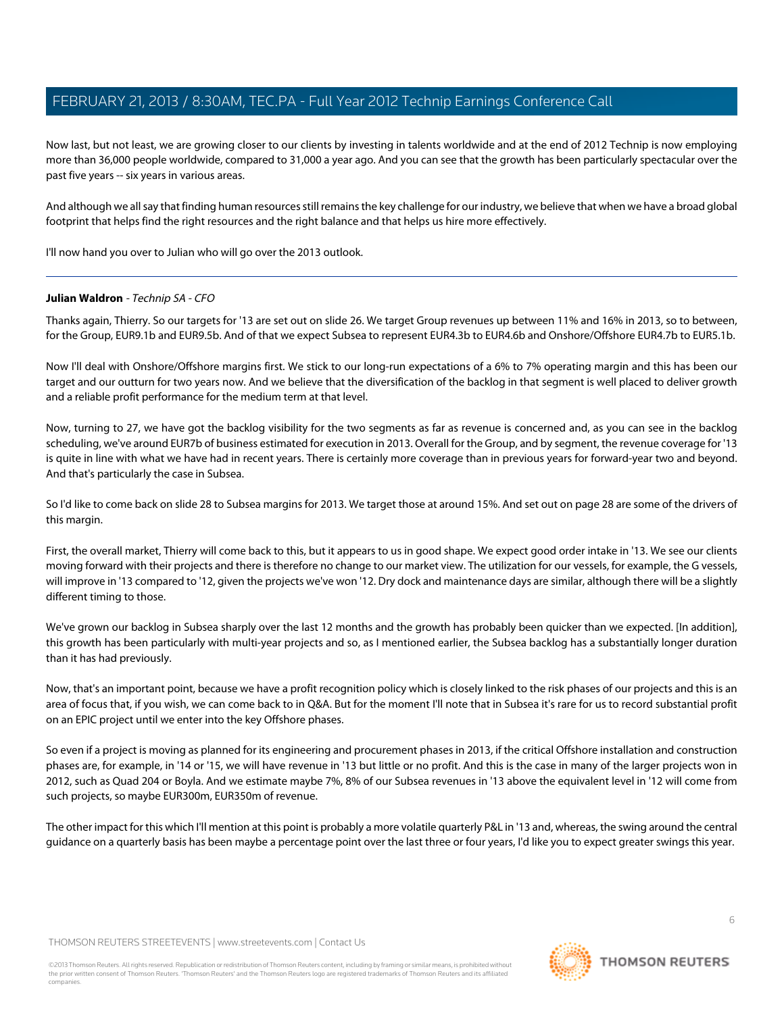Now last, but not least, we are growing closer to our clients by investing in talents worldwide and at the end of 2012 Technip is now employing more than 36,000 people worldwide, compared to 31,000 a year ago. And you can see that the growth has been particularly spectacular over the past five years -- six years in various areas.

And although we all say that finding human resources still remains the key challenge for our industry, we believe that when we have a broad global footprint that helps find the right resources and the right balance and that helps us hire more effectively.

I'll now hand you over to Julian who will go over the 2013 outlook.

#### **Julian Waldron** - Technip SA - CFO

Thanks again, Thierry. So our targets for '13 are set out on slide 26. We target Group revenues up between 11% and 16% in 2013, so to between, for the Group, EUR9.1b and EUR9.5b. And of that we expect Subsea to represent EUR4.3b to EUR4.6b and Onshore/Offshore EUR4.7b to EUR5.1b.

Now I'll deal with Onshore/Offshore margins first. We stick to our long-run expectations of a 6% to 7% operating margin and this has been our target and our outturn for two years now. And we believe that the diversification of the backlog in that segment is well placed to deliver growth and a reliable profit performance for the medium term at that level.

Now, turning to 27, we have got the backlog visibility for the two segments as far as revenue is concerned and, as you can see in the backlog scheduling, we've around EUR7b of business estimated for execution in 2013. Overall for the Group, and by segment, the revenue coverage for '13 is quite in line with what we have had in recent years. There is certainly more coverage than in previous years for forward-year two and beyond. And that's particularly the case in Subsea.

So I'd like to come back on slide 28 to Subsea margins for 2013. We target those at around 15%. And set out on page 28 are some of the drivers of this margin.

First, the overall market, Thierry will come back to this, but it appears to us in good shape. We expect good order intake in '13. We see our clients moving forward with their projects and there is therefore no change to our market view. The utilization for our vessels, for example, the G vessels, will improve in '13 compared to '12, given the projects we've won '12. Dry dock and maintenance days are similar, although there will be a slightly different timing to those.

We've grown our backlog in Subsea sharply over the last 12 months and the growth has probably been quicker than we expected. [In addition], this growth has been particularly with multi-year projects and so, as I mentioned earlier, the Subsea backlog has a substantially longer duration than it has had previously.

Now, that's an important point, because we have a profit recognition policy which is closely linked to the risk phases of our projects and this is an area of focus that, if you wish, we can come back to in Q&A. But for the moment I'll note that in Subsea it's rare for us to record substantial profit on an EPIC project until we enter into the key Offshore phases.

So even if a project is moving as planned for its engineering and procurement phases in 2013, if the critical Offshore installation and construction phases are, for example, in '14 or '15, we will have revenue in '13 but little or no profit. And this is the case in many of the larger projects won in 2012, such as Quad 204 or Boyla. And we estimate maybe 7%, 8% of our Subsea revenues in '13 above the equivalent level in '12 will come from such projects, so maybe EUR300m, EUR350m of revenue.

The other impact for this which I'll mention at this point is probably a more volatile quarterly P&L in '13 and, whereas, the swing around the central guidance on a quarterly basis has been maybe a percentage point over the last three or four years, I'd like you to expect greater swings this year.

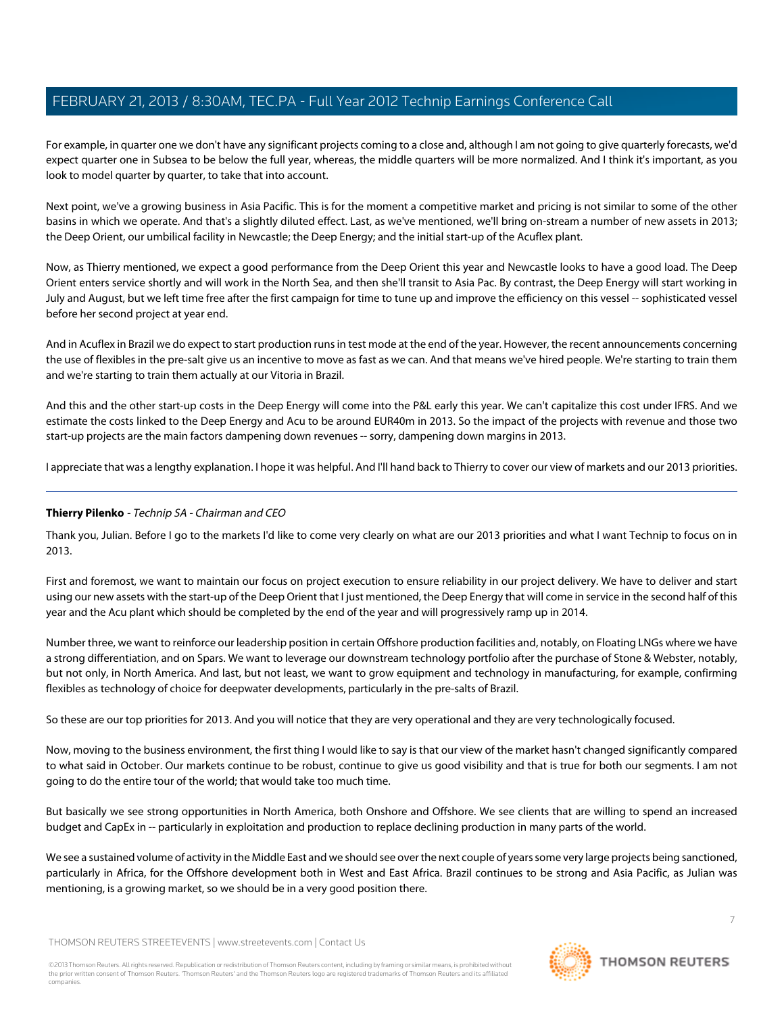For example, in quarter one we don't have any significant projects coming to a close and, although I am not going to give quarterly forecasts, we'd expect quarter one in Subsea to be below the full year, whereas, the middle quarters will be more normalized. And I think it's important, as you look to model quarter by quarter, to take that into account.

Next point, we've a growing business in Asia Pacific. This is for the moment a competitive market and pricing is not similar to some of the other basins in which we operate. And that's a slightly diluted effect. Last, as we've mentioned, we'll bring on-stream a number of new assets in 2013; the Deep Orient, our umbilical facility in Newcastle; the Deep Energy; and the initial start-up of the Acuflex plant.

Now, as Thierry mentioned, we expect a good performance from the Deep Orient this year and Newcastle looks to have a good load. The Deep Orient enters service shortly and will work in the North Sea, and then she'll transit to Asia Pac. By contrast, the Deep Energy will start working in July and August, but we left time free after the first campaign for time to tune up and improve the efficiency on this vessel -- sophisticated vessel before her second project at year end.

And in Acuflex in Brazil we do expect to start production runs in test mode at the end of the year. However, the recent announcements concerning the use of flexibles in the pre-salt give us an incentive to move as fast as we can. And that means we've hired people. We're starting to train them and we're starting to train them actually at our Vitoria in Brazil.

And this and the other start-up costs in the Deep Energy will come into the P&L early this year. We can't capitalize this cost under IFRS. And we estimate the costs linked to the Deep Energy and Acu to be around EUR40m in 2013. So the impact of the projects with revenue and those two start-up projects are the main factors dampening down revenues -- sorry, dampening down margins in 2013.

I appreciate that was a lengthy explanation. I hope it was helpful. And I'll hand back to Thierry to cover our view of markets and our 2013 priorities.

## **Thierry Pilenko** - Technip SA - Chairman and CEO

Thank you, Julian. Before I go to the markets I'd like to come very clearly on what are our 2013 priorities and what I want Technip to focus on in 2013.

First and foremost, we want to maintain our focus on project execution to ensure reliability in our project delivery. We have to deliver and start using our new assets with the start-up of the Deep Orient that I just mentioned, the Deep Energy that will come in service in the second half of this year and the Acu plant which should be completed by the end of the year and will progressively ramp up in 2014.

Number three, we want to reinforce our leadership position in certain Offshore production facilities and, notably, on Floating LNGs where we have a strong differentiation, and on Spars. We want to leverage our downstream technology portfolio after the purchase of Stone & Webster, notably, but not only, in North America. And last, but not least, we want to grow equipment and technology in manufacturing, for example, confirming flexibles as technology of choice for deepwater developments, particularly in the pre-salts of Brazil.

So these are our top priorities for 2013. And you will notice that they are very operational and they are very technologically focused.

Now, moving to the business environment, the first thing I would like to say is that our view of the market hasn't changed significantly compared to what said in October. Our markets continue to be robust, continue to give us good visibility and that is true for both our segments. I am not going to do the entire tour of the world; that would take too much time.

But basically we see strong opportunities in North America, both Onshore and Offshore. We see clients that are willing to spend an increased budget and CapEx in -- particularly in exploitation and production to replace declining production in many parts of the world.

We see a sustained volume of activity in the Middle East and we should see over the next couple of years some very large projects being sanctioned, particularly in Africa, for the Offshore development both in West and East Africa. Brazil continues to be strong and Asia Pacific, as Julian was mentioning, is a growing market, so we should be in a very good position there.

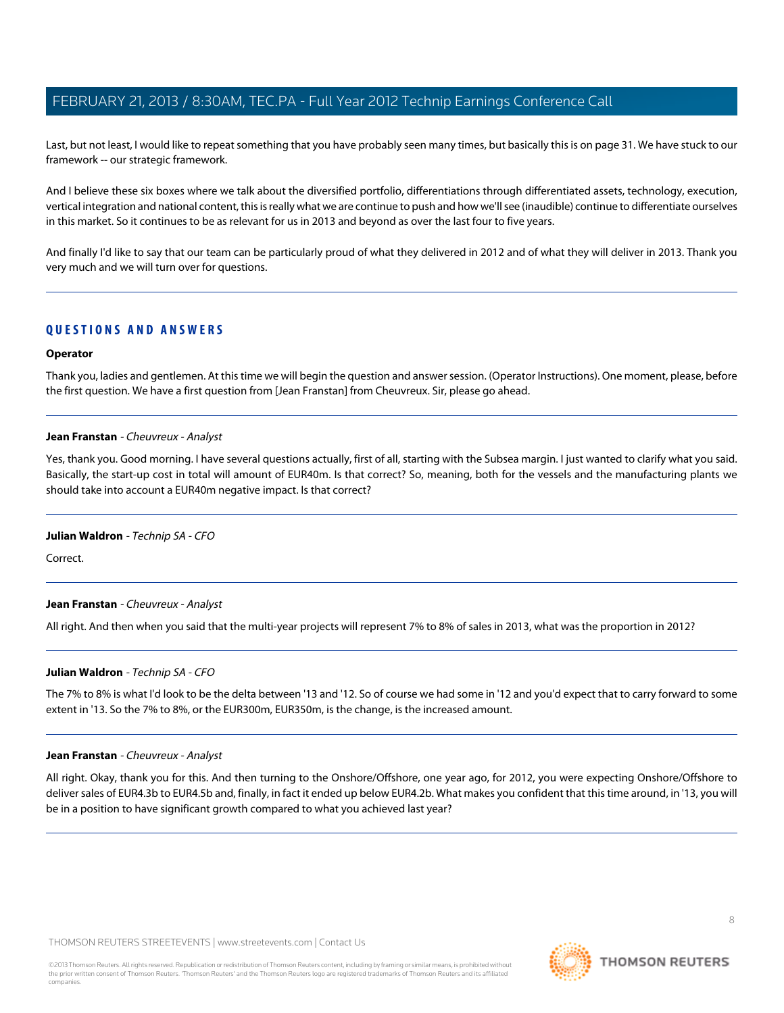Last, but not least, I would like to repeat something that you have probably seen many times, but basically this is on page 31. We have stuck to our framework -- our strategic framework.

And I believe these six boxes where we talk about the diversified portfolio, differentiations through differentiated assets, technology, execution, vertical integration and national content, this is really what we are continue to push and how we'll see (inaudible) continue to differentiate ourselves in this market. So it continues to be as relevant for us in 2013 and beyond as over the last four to five years.

And finally I'd like to say that our team can be particularly proud of what they delivered in 2012 and of what they will deliver in 2013. Thank you very much and we will turn over for questions.

## **QUESTIONS AND ANSWERS**

#### **Operator**

<span id="page-7-0"></span>Thank you, ladies and gentlemen. At this time we will begin the question and answer session. (Operator Instructions). One moment, please, before the first question. We have a first question from [Jean Franstan] from Cheuvreux. Sir, please go ahead.

#### **Jean Franstan** - Cheuvreux - Analyst

Yes, thank you. Good morning. I have several questions actually, first of all, starting with the Subsea margin. I just wanted to clarify what you said. Basically, the start-up cost in total will amount of EUR40m. Is that correct? So, meaning, both for the vessels and the manufacturing plants we should take into account a EUR40m negative impact. Is that correct?

#### **Julian Waldron** - Technip SA - CFO

Correct.

#### **Jean Franstan** - Cheuvreux - Analyst

All right. And then when you said that the multi-year projects will represent 7% to 8% of sales in 2013, what was the proportion in 2012?

#### **Julian Waldron** - Technip SA - CFO

The 7% to 8% is what I'd look to be the delta between '13 and '12. So of course we had some in '12 and you'd expect that to carry forward to some extent in '13. So the 7% to 8%, or the EUR300m, EUR350m, is the change, is the increased amount.

#### **Jean Franstan** - Cheuvreux - Analyst

All right. Okay, thank you for this. And then turning to the Onshore/Offshore, one year ago, for 2012, you were expecting Onshore/Offshore to deliver sales of EUR4.3b to EUR4.5b and, finally, in fact it ended up below EUR4.2b. What makes you confident that this time around, in '13, you will be in a position to have significant growth compared to what you achieved last year?

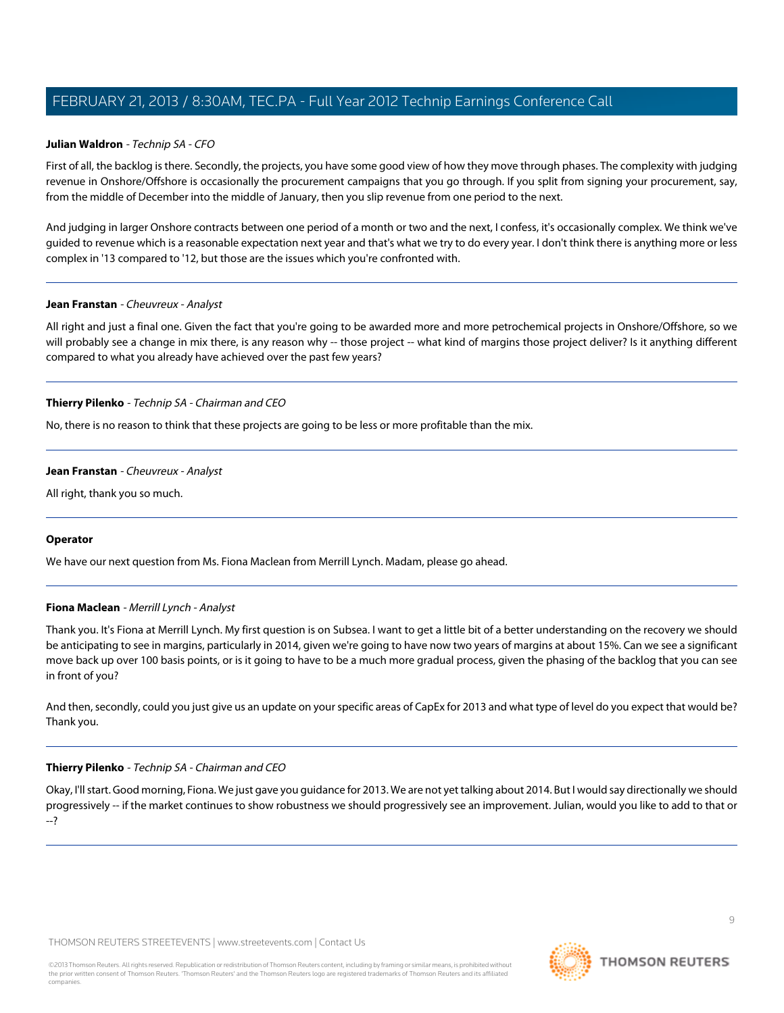#### **Julian Waldron** - Technip SA - CFO

First of all, the backlog is there. Secondly, the projects, you have some good view of how they move through phases. The complexity with judging revenue in Onshore/Offshore is occasionally the procurement campaigns that you go through. If you split from signing your procurement, say, from the middle of December into the middle of January, then you slip revenue from one period to the next.

And judging in larger Onshore contracts between one period of a month or two and the next, I confess, it's occasionally complex. We think we've guided to revenue which is a reasonable expectation next year and that's what we try to do every year. I don't think there is anything more or less complex in '13 compared to '12, but those are the issues which you're confronted with.

#### **Jean Franstan** - Cheuvreux - Analyst

All right and just a final one. Given the fact that you're going to be awarded more and more petrochemical projects in Onshore/Offshore, so we will probably see a change in mix there, is any reason why -- those project -- what kind of margins those project deliver? Is it anything different compared to what you already have achieved over the past few years?

#### **Thierry Pilenko** - Technip SA - Chairman and CEO

No, there is no reason to think that these projects are going to be less or more profitable than the mix.

#### **Jean Franstan** - Cheuvreux - Analyst

All right, thank you so much.

#### <span id="page-8-0"></span>**Operator**

We have our next question from Ms. Fiona Maclean from Merrill Lynch. Madam, please go ahead.

#### **Fiona Maclean** - Merrill Lynch - Analyst

Thank you. It's Fiona at Merrill Lynch. My first question is on Subsea. I want to get a little bit of a better understanding on the recovery we should be anticipating to see in margins, particularly in 2014, given we're going to have now two years of margins at about 15%. Can we see a significant move back up over 100 basis points, or is it going to have to be a much more gradual process, given the phasing of the backlog that you can see in front of you?

And then, secondly, could you just give us an update on your specific areas of CapEx for 2013 and what type of level do you expect that would be? Thank you.

#### **Thierry Pilenko** - Technip SA - Chairman and CEO

Okay, I'll start. Good morning, Fiona. We just gave you guidance for 2013. We are not yet talking about 2014. But I would say directionally we should progressively -- if the market continues to show robustness we should progressively see an improvement. Julian, would you like to add to that or --?

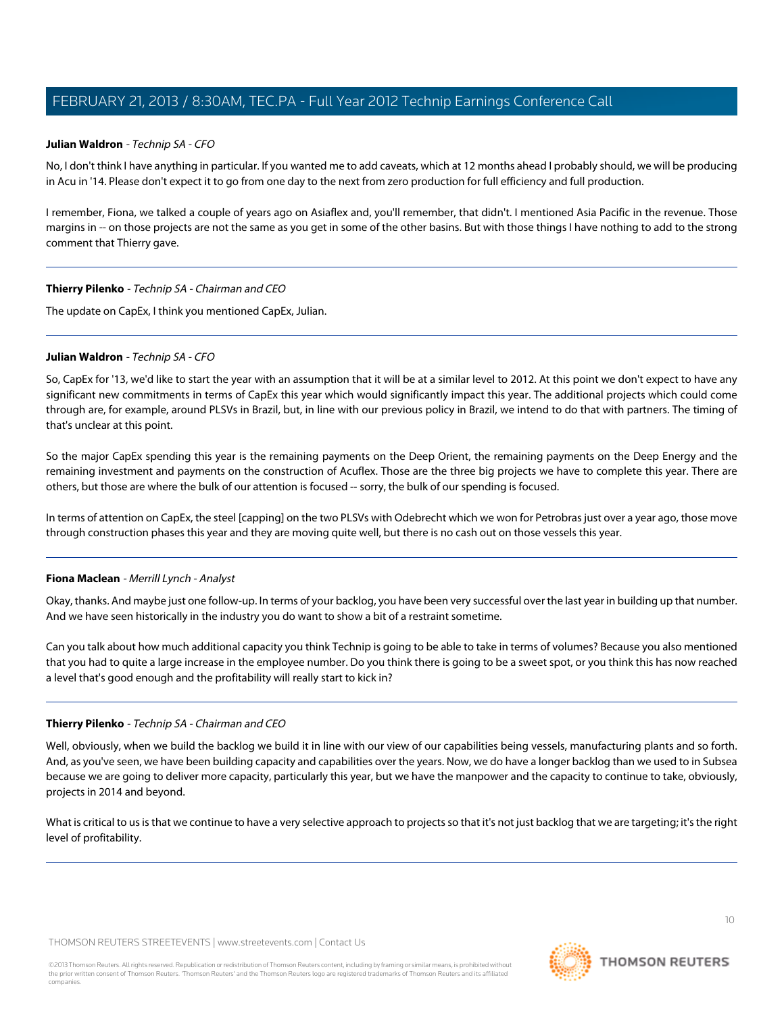#### **Julian Waldron** - Technip SA - CFO

No, I don't think I have anything in particular. If you wanted me to add caveats, which at 12 months ahead I probably should, we will be producing in Acu in '14. Please don't expect it to go from one day to the next from zero production for full efficiency and full production.

I remember, Fiona, we talked a couple of years ago on Asiaflex and, you'll remember, that didn't. I mentioned Asia Pacific in the revenue. Those margins in -- on those projects are not the same as you get in some of the other basins. But with those things I have nothing to add to the strong comment that Thierry gave.

#### **Thierry Pilenko** - Technip SA - Chairman and CEO

The update on CapEx, I think you mentioned CapEx, Julian.

#### **Julian Waldron** - Technip SA - CFO

So, CapEx for '13, we'd like to start the year with an assumption that it will be at a similar level to 2012. At this point we don't expect to have any significant new commitments in terms of CapEx this year which would significantly impact this year. The additional projects which could come through are, for example, around PLSVs in Brazil, but, in line with our previous policy in Brazil, we intend to do that with partners. The timing of that's unclear at this point.

So the major CapEx spending this year is the remaining payments on the Deep Orient, the remaining payments on the Deep Energy and the remaining investment and payments on the construction of Acuflex. Those are the three big projects we have to complete this year. There are others, but those are where the bulk of our attention is focused -- sorry, the bulk of our spending is focused.

In terms of attention on CapEx, the steel [capping] on the two PLSVs with Odebrecht which we won for Petrobras just over a year ago, those move through construction phases this year and they are moving quite well, but there is no cash out on those vessels this year.

#### **Fiona Maclean** - Merrill Lynch - Analyst

Okay, thanks. And maybe just one follow-up. In terms of your backlog, you have been very successful over the last year in building up that number. And we have seen historically in the industry you do want to show a bit of a restraint sometime.

Can you talk about how much additional capacity you think Technip is going to be able to take in terms of volumes? Because you also mentioned that you had to quite a large increase in the employee number. Do you think there is going to be a sweet spot, or you think this has now reached a level that's good enough and the profitability will really start to kick in?

#### **Thierry Pilenko** - Technip SA - Chairman and CEO

Well, obviously, when we build the backlog we build it in line with our view of our capabilities being vessels, manufacturing plants and so forth. And, as you've seen, we have been building capacity and capabilities over the years. Now, we do have a longer backlog than we used to in Subsea because we are going to deliver more capacity, particularly this year, but we have the manpower and the capacity to continue to take, obviously, projects in 2014 and beyond.

What is critical to us is that we continue to have a very selective approach to projects so that it's not just backlog that we are targeting; it's the right level of profitability.

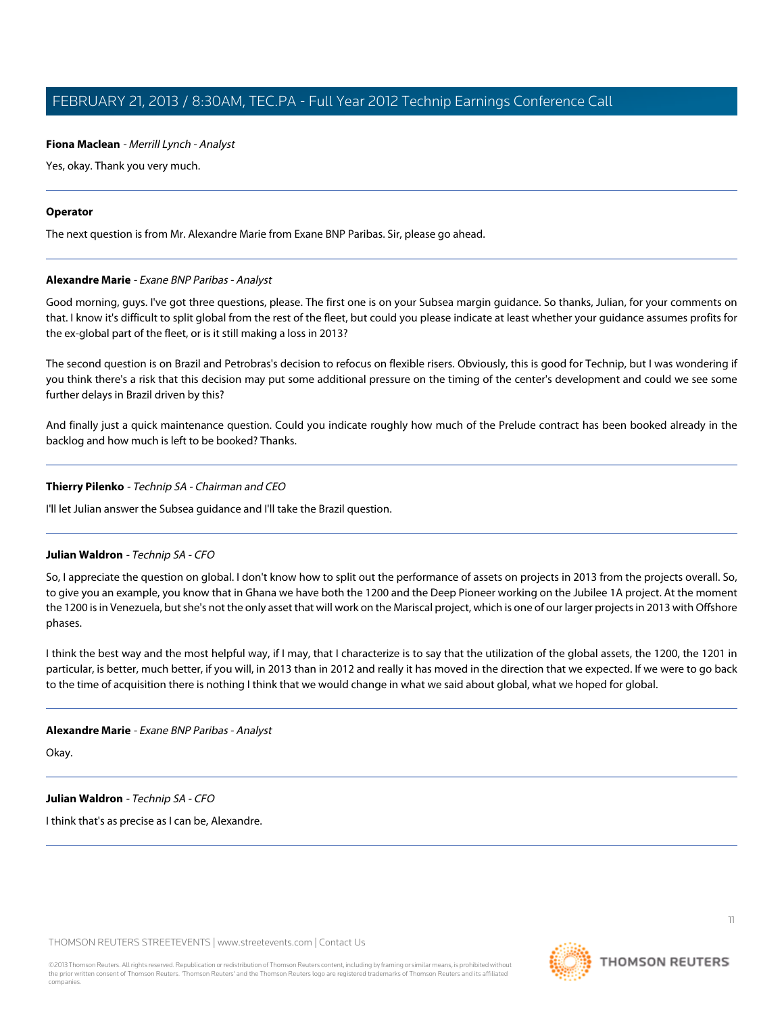#### **Fiona Maclean** - Merrill Lynch - Analyst

Yes, okay. Thank you very much.

#### **Operator**

<span id="page-10-0"></span>The next question is from Mr. Alexandre Marie from Exane BNP Paribas. Sir, please go ahead.

#### **Alexandre Marie** - Exane BNP Paribas - Analyst

Good morning, guys. I've got three questions, please. The first one is on your Subsea margin guidance. So thanks, Julian, for your comments on that. I know it's difficult to split global from the rest of the fleet, but could you please indicate at least whether your guidance assumes profits for the ex-global part of the fleet, or is it still making a loss in 2013?

The second question is on Brazil and Petrobras's decision to refocus on flexible risers. Obviously, this is good for Technip, but I was wondering if you think there's a risk that this decision may put some additional pressure on the timing of the center's development and could we see some further delays in Brazil driven by this?

And finally just a quick maintenance question. Could you indicate roughly how much of the Prelude contract has been booked already in the backlog and how much is left to be booked? Thanks.

#### **Thierry Pilenko** - Technip SA - Chairman and CEO

I'll let Julian answer the Subsea guidance and I'll take the Brazil question.

#### **Julian Waldron** - Technip SA - CFO

So, I appreciate the question on global. I don't know how to split out the performance of assets on projects in 2013 from the projects overall. So, to give you an example, you know that in Ghana we have both the 1200 and the Deep Pioneer working on the Jubilee 1A project. At the moment the 1200 is in Venezuela, but she's not the only asset that will work on the Mariscal project, which is one of our larger projects in 2013 with Offshore phases.

I think the best way and the most helpful way, if I may, that I characterize is to say that the utilization of the global assets, the 1200, the 1201 in particular, is better, much better, if you will, in 2013 than in 2012 and really it has moved in the direction that we expected. If we were to go back to the time of acquisition there is nothing I think that we would change in what we said about global, what we hoped for global.

#### **Alexandre Marie** - Exane BNP Paribas - Analyst

Okay.

**Julian Waldron** - Technip SA - CFO

I think that's as precise as I can be, Alexandre.

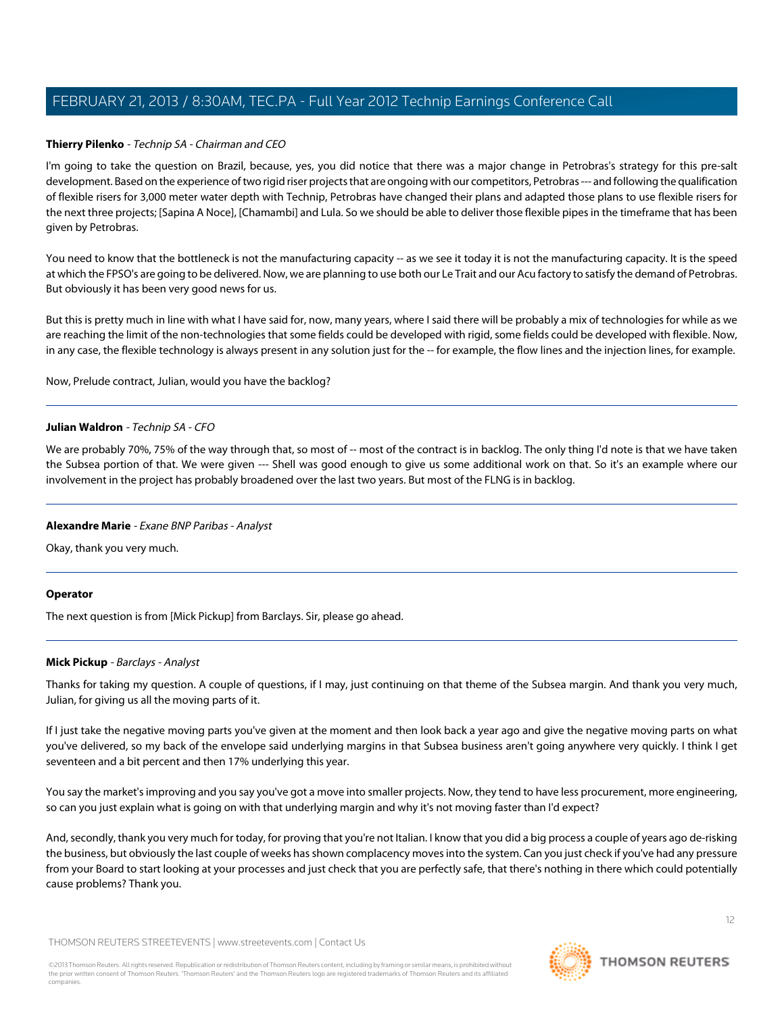#### **Thierry Pilenko** - Technip SA - Chairman and CEO

I'm going to take the question on Brazil, because, yes, you did notice that there was a major change in Petrobras's strategy for this pre-salt development. Based on the experience of two rigid riser projects that are ongoing with our competitors, Petrobras --- and following the qualification of flexible risers for 3,000 meter water depth with Technip, Petrobras have changed their plans and adapted those plans to use flexible risers for the next three projects; [Sapina A Noce], [Chamambi] and Lula. So we should be able to deliver those flexible pipes in the timeframe that has been given by Petrobras.

You need to know that the bottleneck is not the manufacturing capacity -- as we see it today it is not the manufacturing capacity. It is the speed at which the FPSO's are going to be delivered. Now, we are planning to use both our Le Trait and our Acu factory to satisfy the demand of Petrobras. But obviously it has been very good news for us.

But this is pretty much in line with what I have said for, now, many years, where I said there will be probably a mix of technologies for while as we are reaching the limit of the non-technologies that some fields could be developed with rigid, some fields could be developed with flexible. Now, in any case, the flexible technology is always present in any solution just for the -- for example, the flow lines and the injection lines, for example.

Now, Prelude contract, Julian, would you have the backlog?

#### **Julian Waldron** - Technip SA - CFO

We are probably 70%, 75% of the way through that, so most of -- most of the contract is in backlog. The only thing I'd note is that we have taken the Subsea portion of that. We were given --- Shell was good enough to give us some additional work on that. So it's an example where our involvement in the project has probably broadened over the last two years. But most of the FLNG is in backlog.

#### **Alexandre Marie** - Exane BNP Paribas - Analyst

Okay, thank you very much.

#### <span id="page-11-0"></span>**Operator**

The next question is from [Mick Pickup] from Barclays. Sir, please go ahead.

#### **Mick Pickup** - Barclays - Analyst

Thanks for taking my question. A couple of questions, if I may, just continuing on that theme of the Subsea margin. And thank you very much, Julian, for giving us all the moving parts of it.

If I just take the negative moving parts you've given at the moment and then look back a year ago and give the negative moving parts on what you've delivered, so my back of the envelope said underlying margins in that Subsea business aren't going anywhere very quickly. I think I get seventeen and a bit percent and then 17% underlying this year.

You say the market's improving and you say you've got a move into smaller projects. Now, they tend to have less procurement, more engineering, so can you just explain what is going on with that underlying margin and why it's not moving faster than I'd expect?

And, secondly, thank you very much for today, for proving that you're not Italian. I know that you did a big process a couple of years ago de-risking the business, but obviously the last couple of weeks has shown complacency moves into the system. Can you just check if you've had any pressure from your Board to start looking at your processes and just check that you are perfectly safe, that there's nothing in there which could potentially cause problems? Thank you.

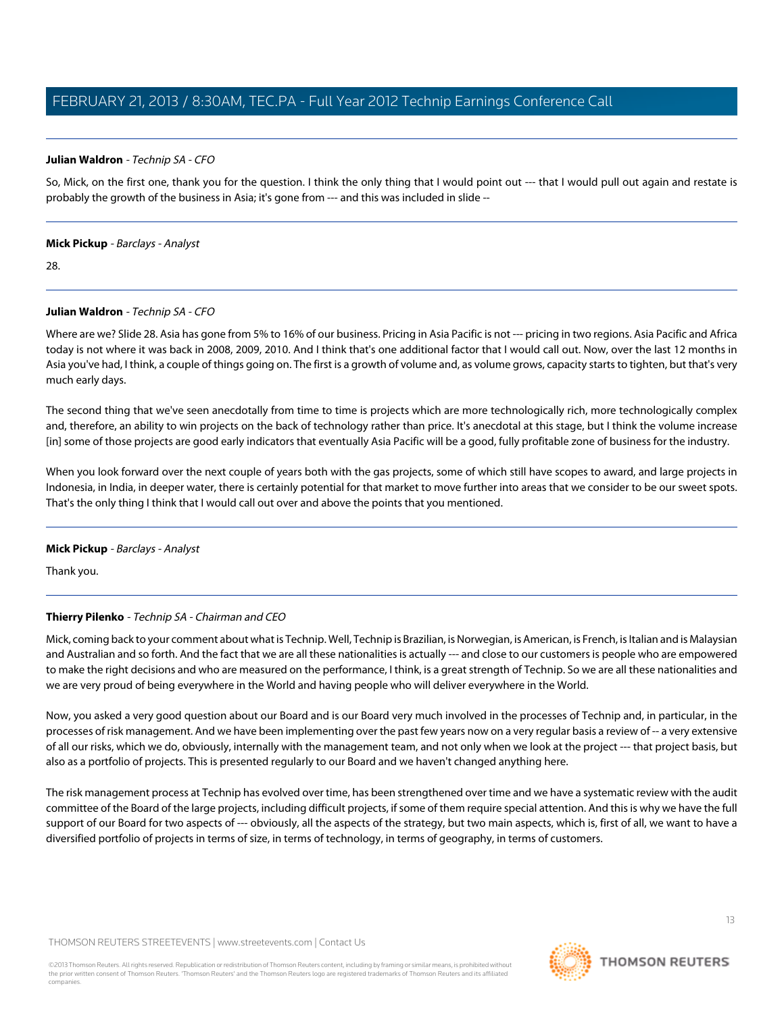#### **Julian Waldron** - Technip SA - CFO

So, Mick, on the first one, thank you for the question. I think the only thing that I would point out --- that I would pull out again and restate is probably the growth of the business in Asia; it's gone from --- and this was included in slide --

#### **Mick Pickup** - Barclays - Analyst

28.

#### **Julian Waldron** - Technip SA - CFO

Where are we? Slide 28. Asia has gone from 5% to 16% of our business. Pricing in Asia Pacific is not --- pricing in two regions. Asia Pacific and Africa today is not where it was back in 2008, 2009, 2010. And I think that's one additional factor that I would call out. Now, over the last 12 months in Asia you've had, I think, a couple of things going on. The first is a growth of volume and, as volume grows, capacity starts to tighten, but that's very much early days.

The second thing that we've seen anecdotally from time to time is projects which are more technologically rich, more technologically complex and, therefore, an ability to win projects on the back of technology rather than price. It's anecdotal at this stage, but I think the volume increase [in] some of those projects are good early indicators that eventually Asia Pacific will be a good, fully profitable zone of business for the industry.

When you look forward over the next couple of years both with the gas projects, some of which still have scopes to award, and large projects in Indonesia, in India, in deeper water, there is certainly potential for that market to move further into areas that we consider to be our sweet spots. That's the only thing I think that I would call out over and above the points that you mentioned.

#### **Mick Pickup** - Barclays - Analyst

Thank you.

#### **Thierry Pilenko** - Technip SA - Chairman and CEO

Mick, coming back to your comment about what is Technip. Well, Technip is Brazilian, is Norwegian, is American, is French, is Italian and is Malaysian and Australian and so forth. And the fact that we are all these nationalities is actually --- and close to our customers is people who are empowered to make the right decisions and who are measured on the performance, I think, is a great strength of Technip. So we are all these nationalities and we are very proud of being everywhere in the World and having people who will deliver everywhere in the World.

Now, you asked a very good question about our Board and is our Board very much involved in the processes of Technip and, in particular, in the processes of risk management. And we have been implementing over the past few years now on a very regular basis a review of -- a very extensive of all our risks, which we do, obviously, internally with the management team, and not only when we look at the project --- that project basis, but also as a portfolio of projects. This is presented regularly to our Board and we haven't changed anything here.

The risk management process at Technip has evolved over time, has been strengthened over time and we have a systematic review with the audit committee of the Board of the large projects, including difficult projects, if some of them require special attention. And this is why we have the full support of our Board for two aspects of --- obviously, all the aspects of the strategy, but two main aspects, which is, first of all, we want to have a diversified portfolio of projects in terms of size, in terms of technology, in terms of geography, in terms of customers.

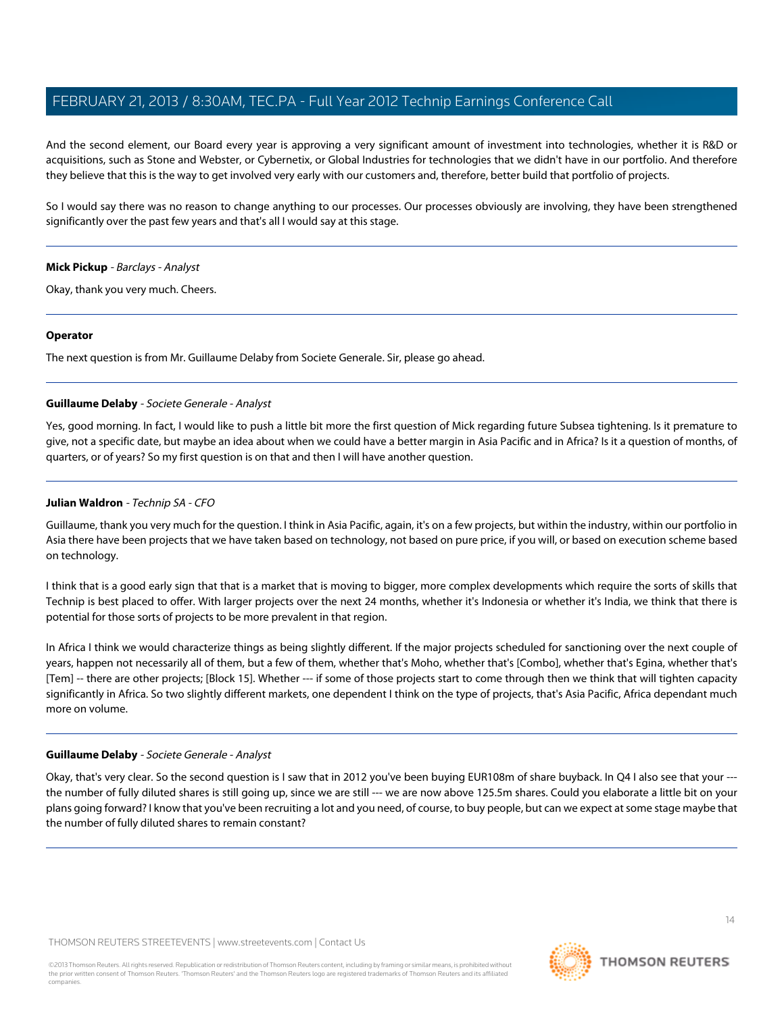And the second element, our Board every year is approving a very significant amount of investment into technologies, whether it is R&D or acquisitions, such as Stone and Webster, or Cybernetix, or Global Industries for technologies that we didn't have in our portfolio. And therefore they believe that this is the way to get involved very early with our customers and, therefore, better build that portfolio of projects.

So I would say there was no reason to change anything to our processes. Our processes obviously are involving, they have been strengthened significantly over the past few years and that's all I would say at this stage.

#### **Mick Pickup** - Barclays - Analyst

Okay, thank you very much. Cheers.

#### **Operator**

<span id="page-13-0"></span>The next question is from Mr. Guillaume Delaby from Societe Generale. Sir, please go ahead.

#### **Guillaume Delaby** - Societe Generale - Analyst

Yes, good morning. In fact, I would like to push a little bit more the first question of Mick regarding future Subsea tightening. Is it premature to give, not a specific date, but maybe an idea about when we could have a better margin in Asia Pacific and in Africa? Is it a question of months, of quarters, or of years? So my first question is on that and then I will have another question.

#### **Julian Waldron** - Technip SA - CFO

Guillaume, thank you very much for the question. I think in Asia Pacific, again, it's on a few projects, but within the industry, within our portfolio in Asia there have been projects that we have taken based on technology, not based on pure price, if you will, or based on execution scheme based on technology.

I think that is a good early sign that that is a market that is moving to bigger, more complex developments which require the sorts of skills that Technip is best placed to offer. With larger projects over the next 24 months, whether it's Indonesia or whether it's India, we think that there is potential for those sorts of projects to be more prevalent in that region.

In Africa I think we would characterize things as being slightly different. If the major projects scheduled for sanctioning over the next couple of years, happen not necessarily all of them, but a few of them, whether that's Moho, whether that's [Combo], whether that's Egina, whether that's [Tem] -- there are other projects; [Block 15]. Whether --- if some of those projects start to come through then we think that will tighten capacity significantly in Africa. So two slightly different markets, one dependent I think on the type of projects, that's Asia Pacific, Africa dependant much more on volume.

#### **Guillaume Delaby** - Societe Generale - Analyst

Okay, that's very clear. So the second question is I saw that in 2012 you've been buying EUR108m of share buyback. In Q4 I also see that your -- the number of fully diluted shares is still going up, since we are still --- we are now above 125.5m shares. Could you elaborate a little bit on your plans going forward? I know that you've been recruiting a lot and you need, of course, to buy people, but can we expect at some stage maybe that the number of fully diluted shares to remain constant?

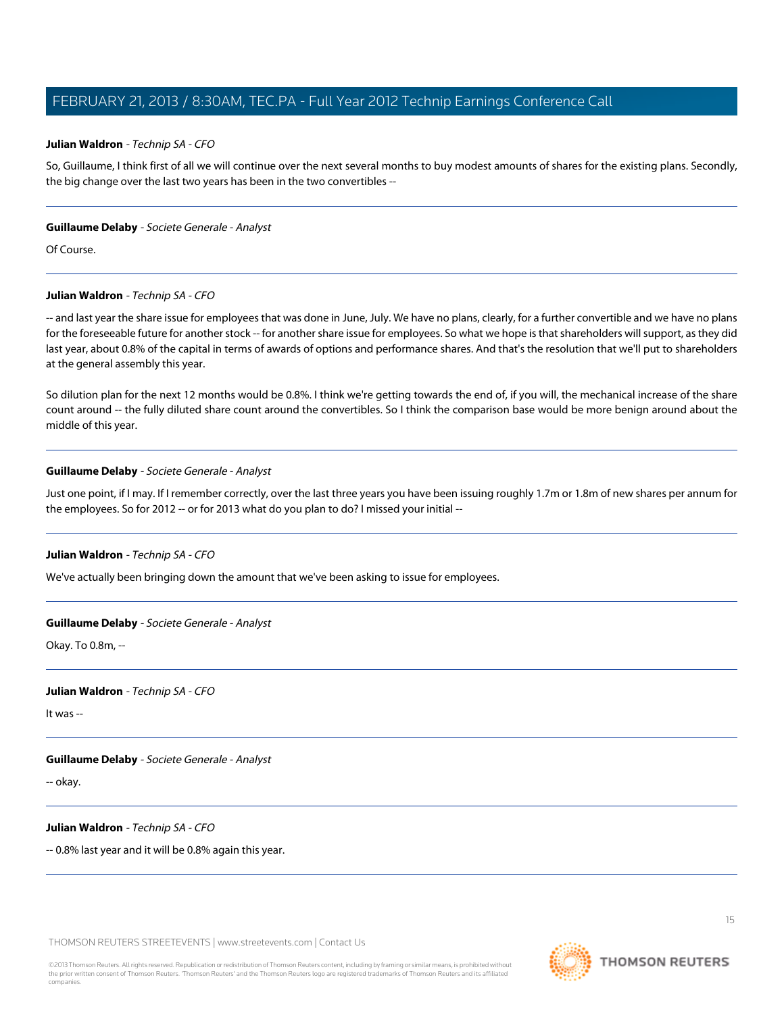#### **Julian Waldron** - Technip SA - CFO

So, Guillaume, I think first of all we will continue over the next several months to buy modest amounts of shares for the existing plans. Secondly, the big change over the last two years has been in the two convertibles --

#### **Guillaume Delaby** - Societe Generale - Analyst

Of Course.

#### **Julian Waldron** - Technip SA - CFO

-- and last year the share issue for employees that was done in June, July. We have no plans, clearly, for a further convertible and we have no plans for the foreseeable future for another stock -- for another share issue for employees. So what we hope is that shareholders will support, as they did last year, about 0.8% of the capital in terms of awards of options and performance shares. And that's the resolution that we'll put to shareholders at the general assembly this year.

So dilution plan for the next 12 months would be 0.8%. I think we're getting towards the end of, if you will, the mechanical increase of the share count around -- the fully diluted share count around the convertibles. So I think the comparison base would be more benign around about the middle of this year.

#### **Guillaume Delaby** - Societe Generale - Analyst

Just one point, if I may. If I remember correctly, over the last three years you have been issuing roughly 1.7m or 1.8m of new shares per annum for the employees. So for 2012 -- or for 2013 what do you plan to do? I missed your initial --

#### **Julian Waldron** - Technip SA - CFO

We've actually been bringing down the amount that we've been asking to issue for employees.

#### **Guillaume Delaby** - Societe Generale - Analyst

Okay. To 0.8m, --

#### **Julian Waldron** - Technip SA - CFO

It was --

#### **Guillaume Delaby** - Societe Generale - Analyst

-- okay.

#### **Julian Waldron** - Technip SA - CFO

-- 0.8% last year and it will be 0.8% again this year.

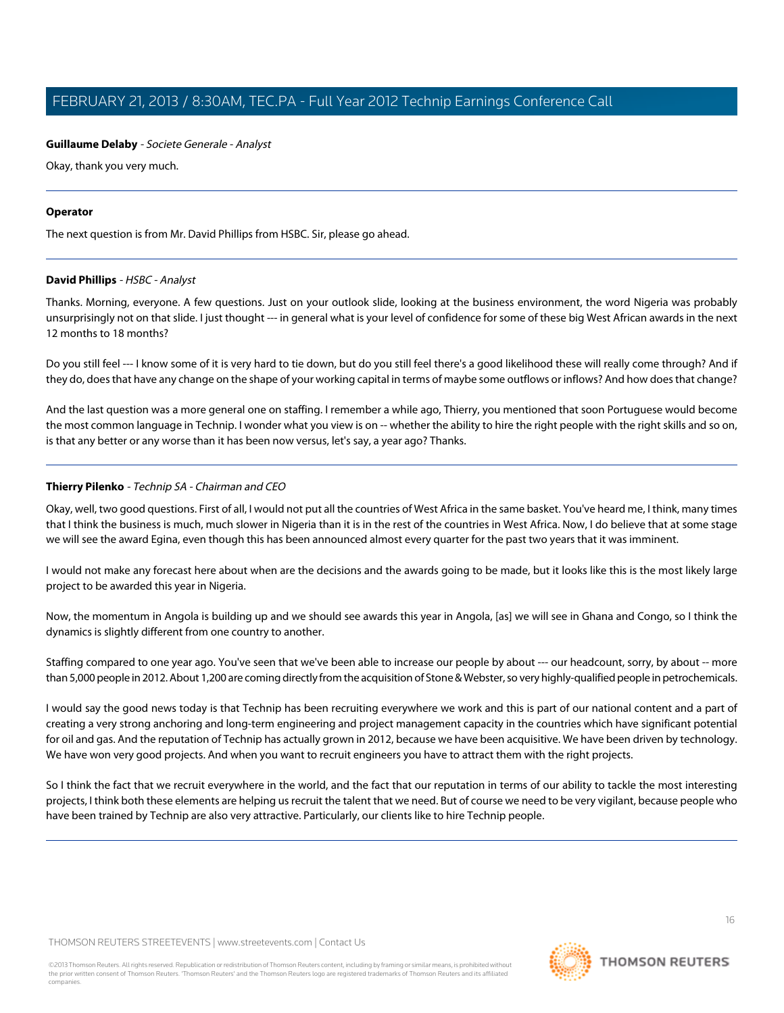#### **Guillaume Delaby** - Societe Generale - Analyst

Okay, thank you very much.

#### **Operator**

<span id="page-15-0"></span>The next question is from Mr. David Phillips from HSBC. Sir, please go ahead.

#### **David Phillips** - HSBC - Analyst

Thanks. Morning, everyone. A few questions. Just on your outlook slide, looking at the business environment, the word Nigeria was probably unsurprisingly not on that slide. I just thought --- in general what is your level of confidence for some of these big West African awards in the next 12 months to 18 months?

Do you still feel --- I know some of it is very hard to tie down, but do you still feel there's a good likelihood these will really come through? And if they do, does that have any change on the shape of your working capital in terms of maybe some outflows or inflows? And how does that change?

And the last question was a more general one on staffing. I remember a while ago, Thierry, you mentioned that soon Portuguese would become the most common language in Technip. I wonder what you view is on -- whether the ability to hire the right people with the right skills and so on, is that any better or any worse than it has been now versus, let's say, a year ago? Thanks.

#### **Thierry Pilenko** - Technip SA - Chairman and CEO

Okay, well, two good questions. First of all, I would not put all the countries of West Africa in the same basket. You've heard me, I think, many times that I think the business is much, much slower in Nigeria than it is in the rest of the countries in West Africa. Now, I do believe that at some stage we will see the award Egina, even though this has been announced almost every quarter for the past two years that it was imminent.

I would not make any forecast here about when are the decisions and the awards going to be made, but it looks like this is the most likely large project to be awarded this year in Nigeria.

Now, the momentum in Angola is building up and we should see awards this year in Angola, [as] we will see in Ghana and Congo, so I think the dynamics is slightly different from one country to another.

Staffing compared to one year ago. You've seen that we've been able to increase our people by about --- our headcount, sorry, by about -- more than 5,000 people in 2012. About 1,200 are coming directly from the acquisition of Stone & Webster, so very highly-qualified people in petrochemicals.

I would say the good news today is that Technip has been recruiting everywhere we work and this is part of our national content and a part of creating a very strong anchoring and long-term engineering and project management capacity in the countries which have significant potential for oil and gas. And the reputation of Technip has actually grown in 2012, because we have been acquisitive. We have been driven by technology. We have won very good projects. And when you want to recruit engineers you have to attract them with the right projects.

So I think the fact that we recruit everywhere in the world, and the fact that our reputation in terms of our ability to tackle the most interesting projects, I think both these elements are helping us recruit the talent that we need. But of course we need to be very vigilant, because people who have been trained by Technip are also very attractive. Particularly, our clients like to hire Technip people.

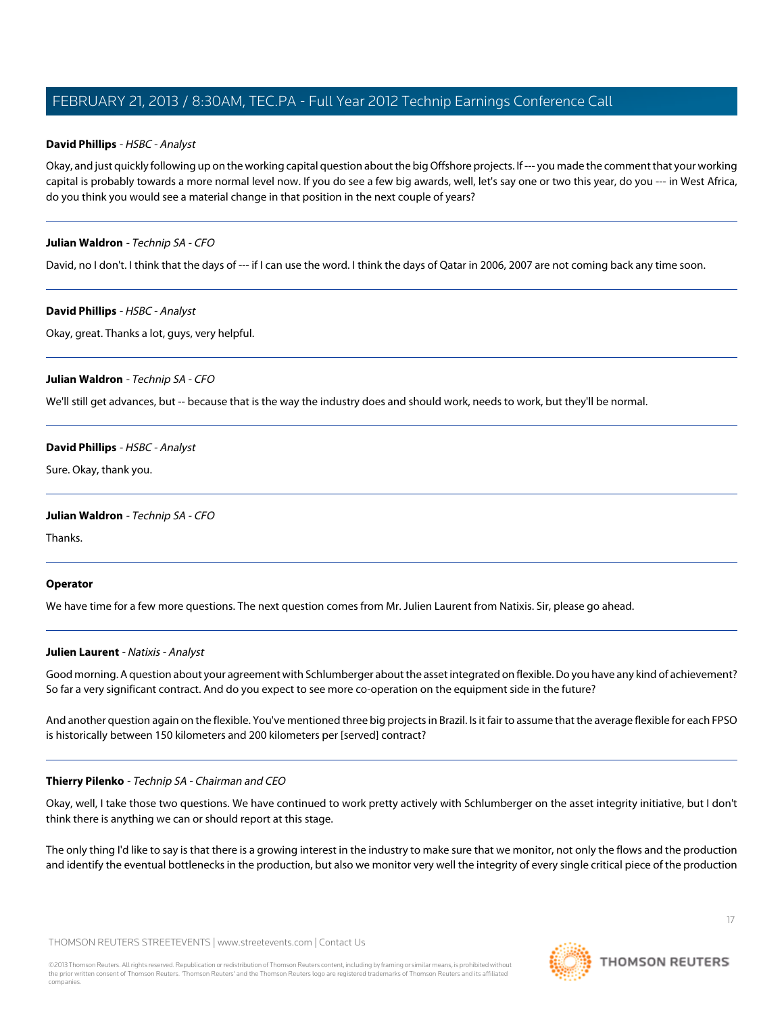#### **David Phillips** - HSBC - Analyst

Okay, and just quickly following up on the working capital question about the big Offshore projects. If --- you made the comment that your working capital is probably towards a more normal level now. If you do see a few big awards, well, let's say one or two this year, do you --- in West Africa, do you think you would see a material change in that position in the next couple of years?

#### **Julian Waldron** - Technip SA - CFO

David, no I don't. I think that the days of --- if I can use the word. I think the days of Qatar in 2006, 2007 are not coming back any time soon.

#### **David Phillips** - HSBC - Analyst

Okay, great. Thanks a lot, guys, very helpful.

#### **Julian Waldron** - Technip SA - CFO

We'll still get advances, but -- because that is the way the industry does and should work, needs to work, but they'll be normal.

#### **David Phillips** - HSBC - Analyst

Sure. Okay, thank you.

#### **Julian Waldron** - Technip SA - CFO

Thanks.

#### <span id="page-16-0"></span>**Operator**

We have time for a few more questions. The next question comes from Mr. Julien Laurent from Natixis. Sir, please go ahead.

#### **Julien Laurent** - Natixis - Analyst

Good morning. A question about your agreement with Schlumberger about the asset integrated on flexible. Do you have any kind of achievement? So far a very significant contract. And do you expect to see more co-operation on the equipment side in the future?

And another question again on the flexible. You've mentioned three big projects in Brazil. Is it fair to assume that the average flexible for each FPSO is historically between 150 kilometers and 200 kilometers per [served] contract?

#### **Thierry Pilenko** - Technip SA - Chairman and CEO

Okay, well, I take those two questions. We have continued to work pretty actively with Schlumberger on the asset integrity initiative, but I don't think there is anything we can or should report at this stage.

The only thing I'd like to say is that there is a growing interest in the industry to make sure that we monitor, not only the flows and the production and identify the eventual bottlenecks in the production, but also we monitor very well the integrity of every single critical piece of the production

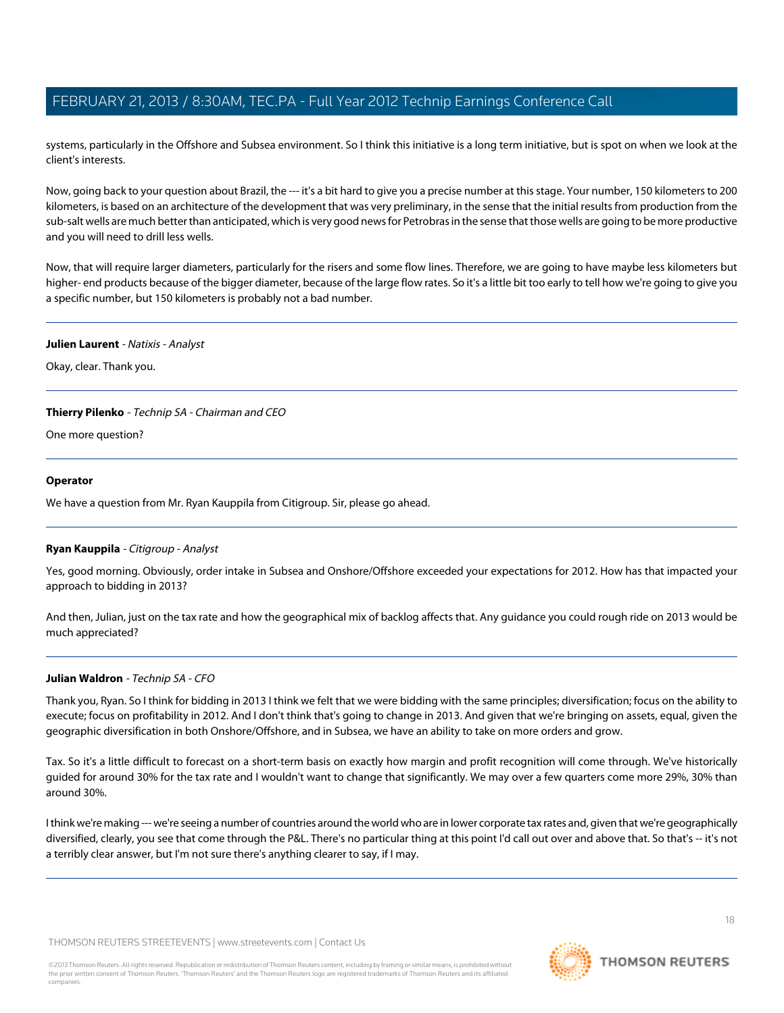systems, particularly in the Offshore and Subsea environment. So I think this initiative is a long term initiative, but is spot on when we look at the client's interests.

Now, going back to your question about Brazil, the --- it's a bit hard to give you a precise number at this stage. Your number, 150 kilometers to 200 kilometers, is based on an architecture of the development that was very preliminary, in the sense that the initial results from production from the sub-salt wells are much better than anticipated, which is very good news for Petrobras in the sense that those wells are going to be more productive and you will need to drill less wells.

Now, that will require larger diameters, particularly for the risers and some flow lines. Therefore, we are going to have maybe less kilometers but higher- end products because of the bigger diameter, because of the large flow rates. So it's a little bit too early to tell how we're going to give you a specific number, but 150 kilometers is probably not a bad number.

#### **Julien Laurent** - Natixis - Analyst

Okay, clear. Thank you.

#### **Thierry Pilenko** - Technip SA - Chairman and CEO

One more question?

#### **Operator**

<span id="page-17-0"></span>We have a question from Mr. Ryan Kauppila from Citigroup. Sir, please go ahead.

#### **Ryan Kauppila** - Citigroup - Analyst

Yes, good morning. Obviously, order intake in Subsea and Onshore/Offshore exceeded your expectations for 2012. How has that impacted your approach to bidding in 2013?

And then, Julian, just on the tax rate and how the geographical mix of backlog affects that. Any guidance you could rough ride on 2013 would be much appreciated?

#### **Julian Waldron** - Technip SA - CFO

Thank you, Ryan. So I think for bidding in 2013 I think we felt that we were bidding with the same principles; diversification; focus on the ability to execute; focus on profitability in 2012. And I don't think that's going to change in 2013. And given that we're bringing on assets, equal, given the geographic diversification in both Onshore/Offshore, and in Subsea, we have an ability to take on more orders and grow.

Tax. So it's a little difficult to forecast on a short-term basis on exactly how margin and profit recognition will come through. We've historically guided for around 30% for the tax rate and I wouldn't want to change that significantly. We may over a few quarters come more 29%, 30% than around 30%.

I think we're making --- we're seeing a number of countries around the world who are in lower corporate tax rates and, given that we're geographically diversified, clearly, you see that come through the P&L. There's no particular thing at this point I'd call out over and above that. So that's -- it's not a terribly clear answer, but I'm not sure there's anything clearer to say, if I may.

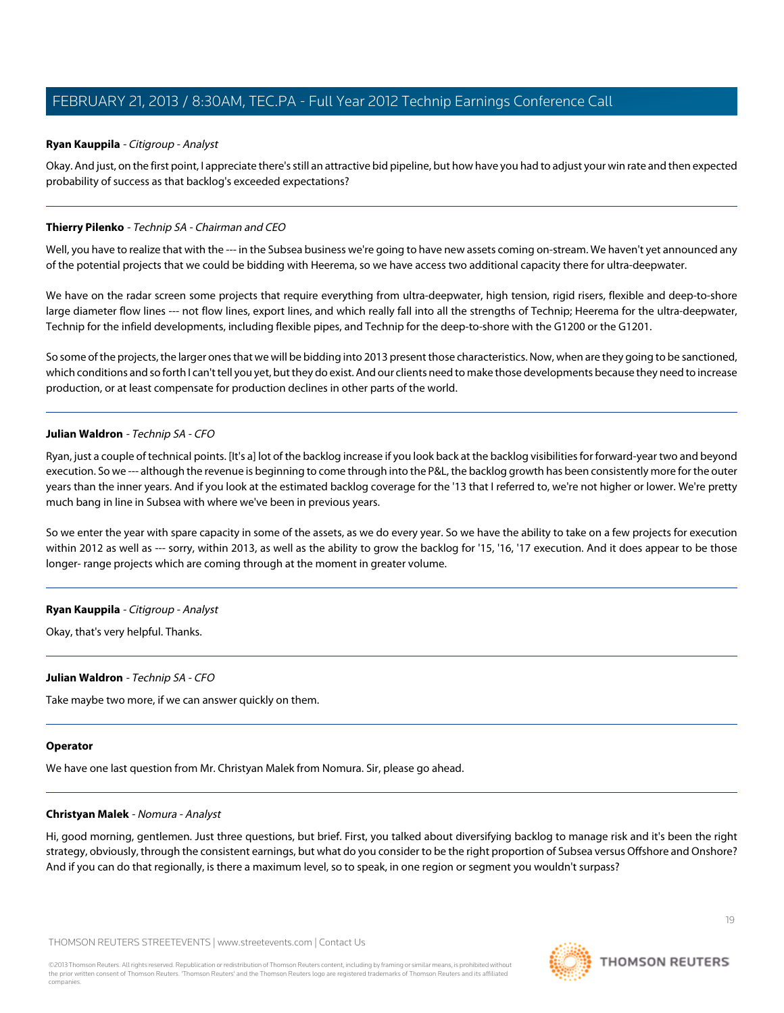#### **Ryan Kauppila** - Citigroup - Analyst

Okay. And just, on the first point, I appreciate there's still an attractive bid pipeline, but how have you had to adjust your win rate and then expected probability of success as that backlog's exceeded expectations?

#### **Thierry Pilenko** - Technip SA - Chairman and CEO

Well, you have to realize that with the --- in the Subsea business we're going to have new assets coming on-stream. We haven't yet announced any of the potential projects that we could be bidding with Heerema, so we have access two additional capacity there for ultra-deepwater.

We have on the radar screen some projects that require everything from ultra-deepwater, high tension, rigid risers, flexible and deep-to-shore large diameter flow lines --- not flow lines, export lines, and which really fall into all the strengths of Technip; Heerema for the ultra-deepwater, Technip for the infield developments, including flexible pipes, and Technip for the deep-to-shore with the G1200 or the G1201.

So some of the projects, the larger ones that we will be bidding into 2013 present those characteristics. Now, when are they going to be sanctioned, which conditions and so forth I can't tell you yet, but they do exist. And our clients need to make those developments because they need to increase production, or at least compensate for production declines in other parts of the world.

#### **Julian Waldron** - Technip SA - CFO

Ryan, just a couple of technical points. [It's a] lot of the backlog increase if you look back at the backlog visibilities for forward-year two and beyond execution. So we --- although the revenue is beginning to come through into the P&L, the backlog growth has been consistently more for the outer years than the inner years. And if you look at the estimated backlog coverage for the '13 that I referred to, we're not higher or lower. We're pretty much bang in line in Subsea with where we've been in previous years.

So we enter the year with spare capacity in some of the assets, as we do every year. So we have the ability to take on a few projects for execution within 2012 as well as --- sorry, within 2013, as well as the ability to grow the backlog for '15, '16, '17 execution. And it does appear to be those longer- range projects which are coming through at the moment in greater volume.

#### **Ryan Kauppila** - Citigroup - Analyst

Okay, that's very helpful. Thanks.

#### **Julian Waldron** - Technip SA - CFO

Take maybe two more, if we can answer quickly on them.

#### <span id="page-18-0"></span>**Operator**

We have one last question from Mr. Christyan Malek from Nomura. Sir, please go ahead.

#### **Christyan Malek** - Nomura - Analyst

Hi, good morning, gentlemen. Just three questions, but brief. First, you talked about diversifying backlog to manage risk and it's been the right strategy, obviously, through the consistent earnings, but what do you consider to be the right proportion of Subsea versus Offshore and Onshore? And if you can do that regionally, is there a maximum level, so to speak, in one region or segment you wouldn't surpass?

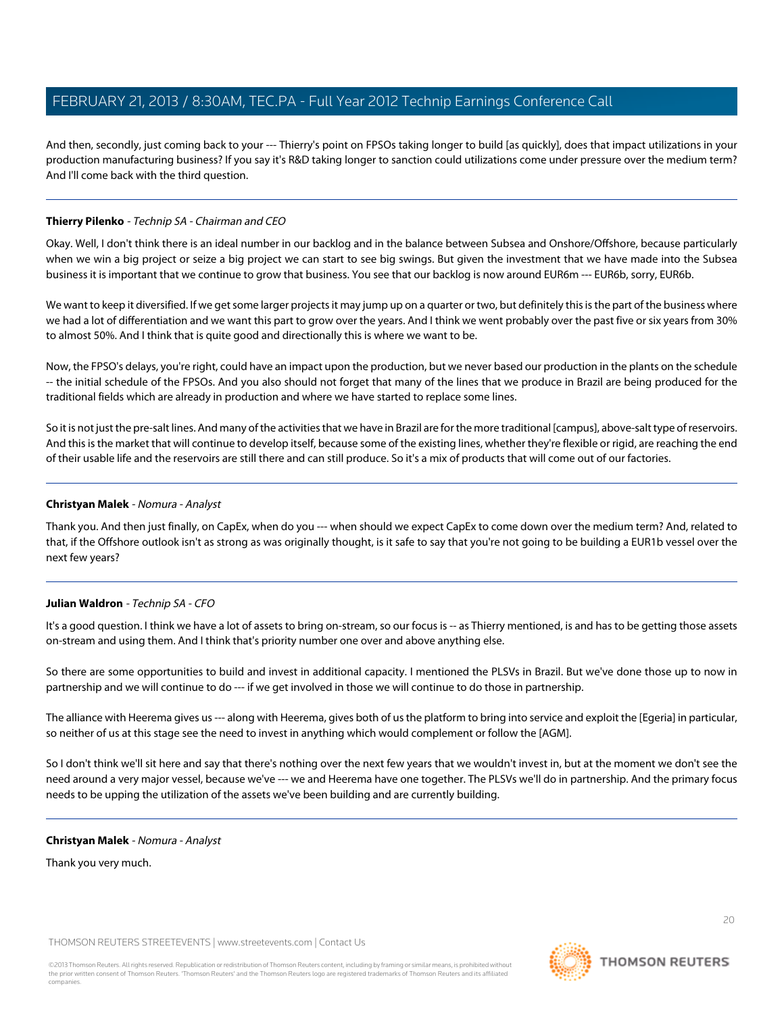And then, secondly, just coming back to your --- Thierry's point on FPSOs taking longer to build [as quickly], does that impact utilizations in your production manufacturing business? If you say it's R&D taking longer to sanction could utilizations come under pressure over the medium term? And I'll come back with the third question.

#### **Thierry Pilenko** - Technip SA - Chairman and CEO

Okay. Well, I don't think there is an ideal number in our backlog and in the balance between Subsea and Onshore/Offshore, because particularly when we win a big project or seize a big project we can start to see big swings. But given the investment that we have made into the Subsea business it is important that we continue to grow that business. You see that our backlog is now around EUR6m --- EUR6b, sorry, EUR6b.

We want to keep it diversified. If we get some larger projects it may jump up on a quarter or two, but definitely this is the part of the business where we had a lot of differentiation and we want this part to grow over the years. And I think we went probably over the past five or six years from 30% to almost 50%. And I think that is quite good and directionally this is where we want to be.

Now, the FPSO's delays, you're right, could have an impact upon the production, but we never based our production in the plants on the schedule -- the initial schedule of the FPSOs. And you also should not forget that many of the lines that we produce in Brazil are being produced for the traditional fields which are already in production and where we have started to replace some lines.

So it is not just the pre-salt lines. And many of the activities that we have in Brazil are for the more traditional [campus], above-salt type of reservoirs. And this is the market that will continue to develop itself, because some of the existing lines, whether they're flexible or rigid, are reaching the end of their usable life and the reservoirs are still there and can still produce. So it's a mix of products that will come out of our factories.

#### **Christyan Malek** - Nomura - Analyst

Thank you. And then just finally, on CapEx, when do you --- when should we expect CapEx to come down over the medium term? And, related to that, if the Offshore outlook isn't as strong as was originally thought, is it safe to say that you're not going to be building a EUR1b vessel over the next few years?

#### **Julian Waldron** - Technip SA - CFO

It's a good question. I think we have a lot of assets to bring on-stream, so our focus is -- as Thierry mentioned, is and has to be getting those assets on-stream and using them. And I think that's priority number one over and above anything else.

So there are some opportunities to build and invest in additional capacity. I mentioned the PLSVs in Brazil. But we've done those up to now in partnership and we will continue to do --- if we get involved in those we will continue to do those in partnership.

The alliance with Heerema gives us --- along with Heerema, gives both of us the platform to bring into service and exploit the [Egeria] in particular, so neither of us at this stage see the need to invest in anything which would complement or follow the [AGM].

So I don't think we'll sit here and say that there's nothing over the next few years that we wouldn't invest in, but at the moment we don't see the need around a very major vessel, because we've --- we and Heerema have one together. The PLSVs we'll do in partnership. And the primary focus needs to be upping the utilization of the assets we've been building and are currently building.

#### **Christyan Malek** - Nomura - Analyst

Thank you very much.

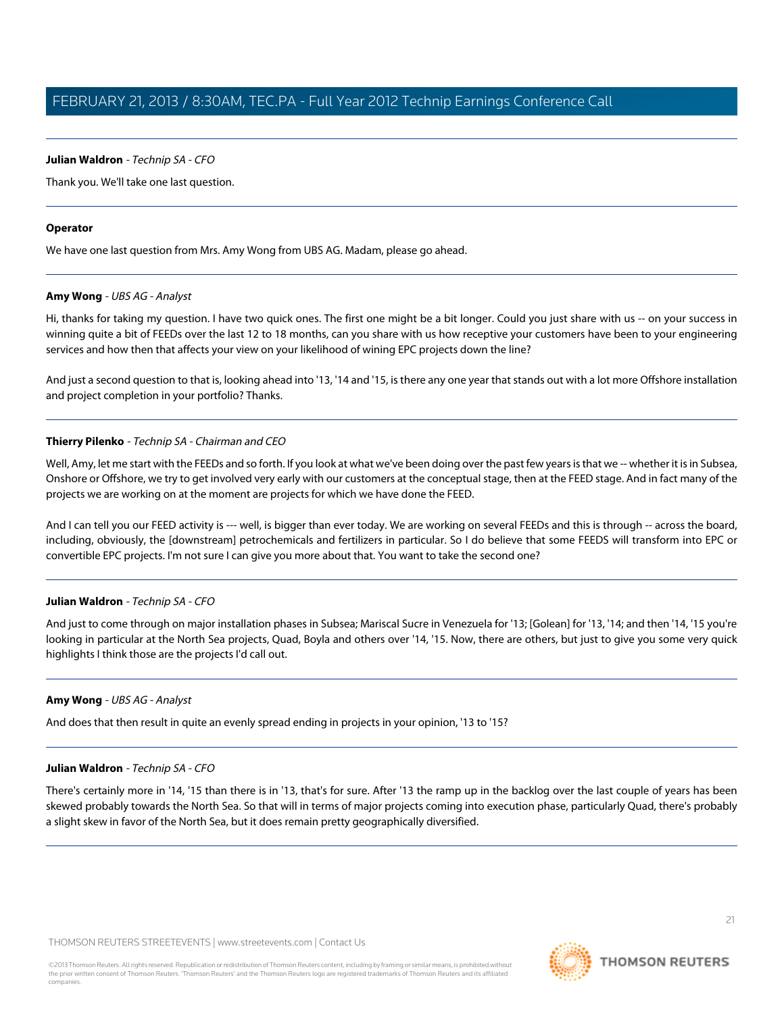#### **Julian Waldron** - Technip SA - CFO

Thank you. We'll take one last question.

#### **Operator**

<span id="page-20-0"></span>We have one last question from Mrs. Amy Wong from UBS AG. Madam, please go ahead.

#### **Amy Wong** - UBS AG - Analyst

Hi, thanks for taking my question. I have two quick ones. The first one might be a bit longer. Could you just share with us -- on your success in winning quite a bit of FEEDs over the last 12 to 18 months, can you share with us how receptive your customers have been to your engineering services and how then that affects your view on your likelihood of wining EPC projects down the line?

And just a second question to that is, looking ahead into '13, '14 and '15, is there any one year that stands out with a lot more Offshore installation and project completion in your portfolio? Thanks.

#### **Thierry Pilenko** - Technip SA - Chairman and CEO

Well, Amy, let me start with the FEEDs and so forth. If you look at what we've been doing over the past few years is that we -- whether it is in Subsea, Onshore or Offshore, we try to get involved very early with our customers at the conceptual stage, then at the FEED stage. And in fact many of the projects we are working on at the moment are projects for which we have done the FEED.

And I can tell you our FEED activity is --- well, is bigger than ever today. We are working on several FEEDs and this is through -- across the board, including, obviously, the [downstream] petrochemicals and fertilizers in particular. So I do believe that some FEEDS will transform into EPC or convertible EPC projects. I'm not sure I can give you more about that. You want to take the second one?

#### **Julian Waldron** - Technip SA - CFO

And just to come through on major installation phases in Subsea; Mariscal Sucre in Venezuela for '13; [Golean] for '13, '14; and then '14, '15 you're looking in particular at the North Sea projects, Quad, Boyla and others over '14, '15. Now, there are others, but just to give you some very quick highlights I think those are the projects I'd call out.

#### **Amy Wong** - UBS AG - Analyst

And does that then result in quite an evenly spread ending in projects in your opinion, '13 to '15?

#### **Julian Waldron** - Technip SA - CFO

There's certainly more in '14, '15 than there is in '13, that's for sure. After '13 the ramp up in the backlog over the last couple of years has been skewed probably towards the North Sea. So that will in terms of major projects coming into execution phase, particularly Quad, there's probably a slight skew in favor of the North Sea, but it does remain pretty geographically diversified.